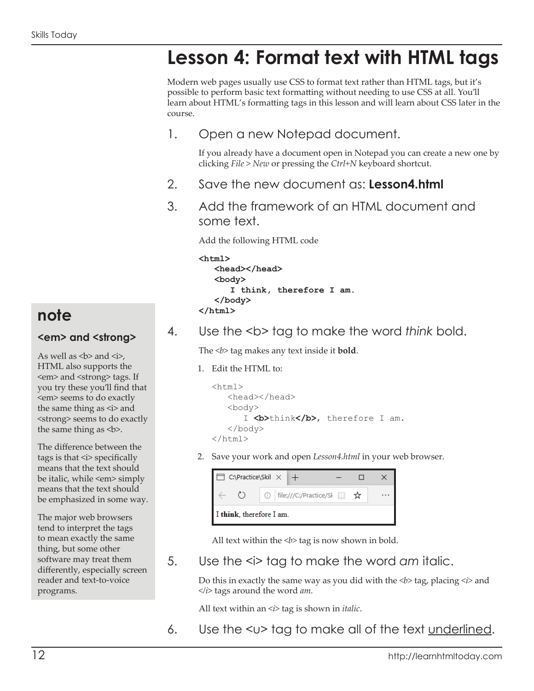# **Lesson 4: Format text with HTML tags**

Modern web pages usually use CSS to format text rather than HTML tags, but it's possible to perform basic text formatting without needing to use CSS at all. You'll learn about HTML's formatting tags in this lesson and will learn about CSS later in the course.

1. Open a new Notepad document.

If you already have a document open in Notepad you can create a new one by clicking *File > New* or pressing the *Ctrl+N* keyboard shortcut.

- 2. Save the new document as: **Lesson4.html**
- 3. Add the framework of an HTML document and some text.

Add the following HTML code

```
<html>
    <head></head>
    <body>
       I think, therefore I am.
    </body>
</html>
```
4. Use the <b> tag to make the word think bold.

The *<i>b* tag makes any text inside it **bold**.

1. Edit the HTML to:

```
<html> <head></head>
    <body>
       I <br />
b>think</b>, therefore I am.
    </body>
</html>
```
2. Save your work and open *Lesson4.html* in your web browser.

|                          | C:\Practice\Skil $\times$   + |  |  |                                                                       |  |  |  |  |  |  |  |
|--------------------------|-------------------------------|--|--|-----------------------------------------------------------------------|--|--|--|--|--|--|--|
|                          |                               |  |  | $\circledcirc$   file:///C:/Practice/Sl $\Box \quad \mathbf{\hat{x}}$ |  |  |  |  |  |  |  |
| I think, therefore I am. |                               |  |  |                                                                       |  |  |  |  |  |  |  |

All text within the  **tag is now shown in bold.** 

5. Use the <i> tag to make the word *am* italic.

Do this in exactly the same way as you did with the  $\langle b \rangle$  tag, placing  $\langle i \rangle$  and  $\langle \rangle$  tags around the word *am*.

All text within an  $\leq i$  tag is shown in *italic*.

6. Use the  $\lt\upsilon$  tag to make all of the text underlined.

## **note**

#### **<em> and <strong>**

As well as  **and**  $**3**$ **,** HTML also supports the <em> and <strong> tags. If you try these you'll find that <em> seems to do exactly the same thing as  $\leq i$  and <strong> seems to do exactly the same thing as **.** 

The difference between the tags is that  $\leq i$  specifically means that the text should be italic, while <em> simply means that the text should be emphasized in some way.

The major web browsers tend to interpret the tags to mean exactly the same thing, but some other software may treat them differently, especially screen reader and text-to-voice programs.